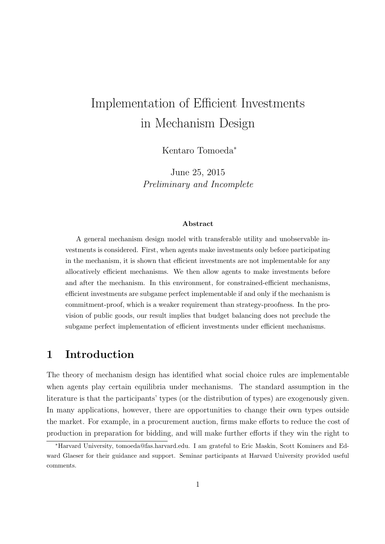# Implementation of Efficient Investments in Mechanism Design

Kentaro Tomoeda*<sup>∗</sup>*

June 25, 2015 *Preliminary and Incomplete*

#### **Abstract**

A general mechanism design model with transferable utility and unobservable investments is considered. First, when agents make investments only before participating in the mechanism, it is shown that efficient investments are not implementable for any allocatively efficient mechanisms. We then allow agents to make investments before and after the mechanism. In this environment, for constrained-efficient mechanisms, efficient investments are subgame perfect implementable if and only if the mechanism is commitment-proof, which is a weaker requirement than strategy-proofness. In the provision of public goods, our result implies that budget balancing does not preclude the subgame perfect implementation of efficient investments under efficient mechanisms.

# **1 Introduction**

The theory of mechanism design has identified what social choice rules are implementable when agents play certain equilibria under mechanisms. The standard assumption in the literature is that the participants' types (or the distribution of types) are exogenously given. In many applications, however, there are opportunities to change their own types outside the market. For example, in a procurement auction, firms make efforts to reduce the cost of production in preparation for bidding, and will make further efforts if they win the right to

*<sup>∗</sup>*Harvard University, tomoeda@fas.harvard.edu. I am grateful to Eric Maskin, Scott Kominers and Edward Glaeser for their guidance and support. Seminar participants at Harvard University provided useful comments.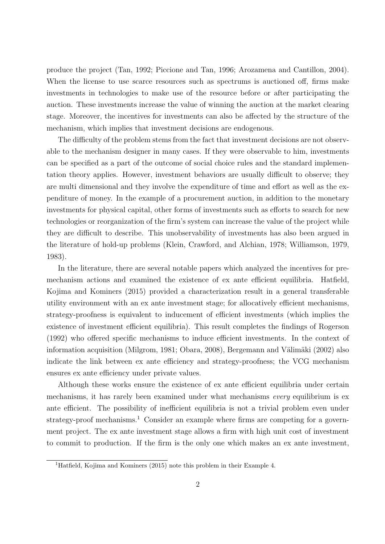produce the project (Tan, 1992; Piccione and Tan, 1996; Arozamena and Cantillon, 2004). When the license to use scarce resources such as spectrums is auctioned off, firms make investments in technologies to make use of the resource before or after participating the auction. These investments increase the value of winning the auction at the market clearing stage. Moreover, the incentives for investments can also be affected by the structure of the mechanism, which implies that investment decisions are endogenous.

The difficulty of the problem stems from the fact that investment decisions are not observable to the mechanism designer in many cases. If they were observable to him, investments can be specified as a part of the outcome of social choice rules and the standard implementation theory applies. However, investment behaviors are usually difficult to observe; they are multi dimensional and they involve the expenditure of time and effort as well as the expenditure of money. In the example of a procurement auction, in addition to the monetary investments for physical capital, other forms of investments such as efforts to search for new technologies or reorganization of the firm's system can increase the value of the project while they are difficult to describe. This unobservability of investments has also been argued in the literature of hold-up problems (Klein, Crawford, and Alchian, 1978; Williamson, 1979, 1983).

In the literature, there are several notable papers which analyzed the incentives for premechanism actions and examined the existence of ex ante efficient equilibria. Hatfield, Kojima and Kominers (2015) provided a characterization result in a general transferable utility environment with an ex ante investment stage; for allocatively efficient mechanisms, strategy-proofness is equivalent to inducement of efficient investments (which implies the existence of investment efficient equilibria). This result completes the findings of Rogerson (1992) who offered specific mechanisms to induce efficient investments. In the context of information acquisition (Milgrom, 1981; Obara, 2008), Bergemann and Välimäki (2002) also indicate the link between ex ante efficiency and strategy-proofness; the VCG mechanism ensures ex ante efficiency under private values.

Although these works ensure the existence of ex ante efficient equilibria under certain mechanisms, it has rarely been examined under what mechanisms *every* equilibrium is ex ante efficient. The possibility of inefficient equilibria is not a trivial problem even under strategy-proof mechanisms.<sup>1</sup> Consider an example where firms are competing for a government project. The ex ante investment stage allows a firm with high unit cost of investment to commit to production. If the firm is the only one which makes an ex ante investment,

<sup>&</sup>lt;sup>1</sup>Hatfield, Kojima and Kominers (2015) note this problem in their Example 4.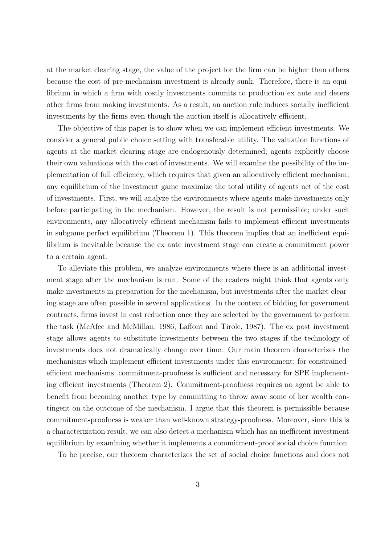at the market clearing stage, the value of the project for the firm can be higher than others because the cost of pre-mechanism investment is already sunk. Therefore, there is an equilibrium in which a firm with costly investments commits to production ex ante and deters other firms from making investments. As a result, an auction rule induces socially inefficient investments by the firms even though the auction itself is allocatively efficient.

The objective of this paper is to show when we can implement efficient investments. We consider a general public choice setting with transferable utility. The valuation functions of agents at the market clearing stage are endogenously determined; agents explicitly choose their own valuations with the cost of investments. We will examine the possibility of the implementation of full efficiency, which requires that given an allocatively efficient mechanism, any equilibrium of the investment game maximize the total utility of agents net of the cost of investments. First, we will analyze the environments where agents make investments only before participating in the mechanism. However, the result is not permissible; under such environments, any allocatively efficient mechanism fails to implement efficient investments in subgame perfect equilibrium (Theorem 1). This theorem implies that an inefficient equilibrium is inevitable because the ex ante investment stage can create a commitment power to a certain agent.

To alleviate this problem, we analyze environments where there is an additional investment stage after the mechanism is run. Some of the readers might think that agents only make investments in preparation for the mechanism, but investments after the market clearing stage are often possible in several applications. In the context of bidding for government contracts, firms invest in cost reduction once they are selected by the government to perform the task (McAfee and McMillan, 1986; Laffont and Tirole, 1987). The ex post investment stage allows agents to substitute investments between the two stages if the technology of investments does not dramatically change over time. Our main theorem characterizes the mechanisms which implement efficient investments under this environment; for constrainedefficient mechanisms, commitment-proofness is sufficient and necessary for SPE implementing efficient investments (Theorem 2). Commitment-proofness requires no agent be able to benefit from becoming another type by committing to throw away some of her wealth contingent on the outcome of the mechanism. I argue that this theorem is permissible because commitment-proofness is weaker than well-known strategy-proofness. Moreover, since this is a characterization result, we can also detect a mechanism which has an inefficient investment equilibrium by examining whether it implements a commitment-proof social choice function.

To be precise, our theorem characterizes the set of social choice functions and does not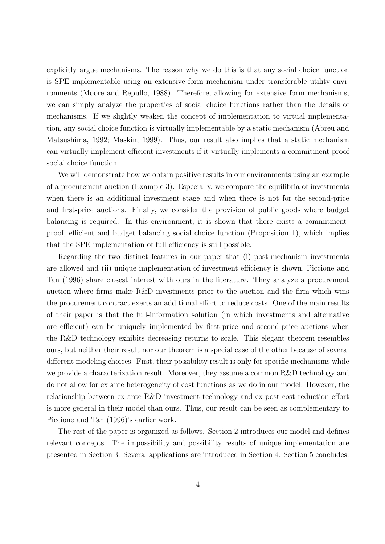explicitly argue mechanisms. The reason why we do this is that any social choice function is SPE implementable using an extensive form mechanism under transferable utility environments (Moore and Repullo, 1988). Therefore, allowing for extensive form mechanisms, we can simply analyze the properties of social choice functions rather than the details of mechanisms. If we slightly weaken the concept of implementation to virtual implementation, any social choice function is virtually implementable by a static mechanism (Abreu and Matsushima, 1992; Maskin, 1999). Thus, our result also implies that a static mechanism can virtually implement efficient investments if it virtually implements a commitment-proof social choice function.

We will demonstrate how we obtain positive results in our environments using an example of a procurement auction (Example 3). Especially, we compare the equilibria of investments when there is an additional investment stage and when there is not for the second-price and first-price auctions. Finally, we consider the provision of public goods where budget balancing is required. In this environment, it is shown that there exists a commitmentproof, efficient and budget balancing social choice function (Proposition 1), which implies that the SPE implementation of full efficiency is still possible.

Regarding the two distinct features in our paper that (i) post-mechanism investments are allowed and (ii) unique implementation of investment efficiency is shown, Piccione and Tan (1996) share closest interest with ours in the literature. They analyze a procurement auction where firms make R&D investments prior to the auction and the firm which wins the procurement contract exerts an additional effort to reduce costs. One of the main results of their paper is that the full-information solution (in which investments and alternative are efficient) can be uniquely implemented by first-price and second-price auctions when the R&D technology exhibits decreasing returns to scale. This elegant theorem resembles ours, but neither their result nor our theorem is a special case of the other because of several different modeling choices. First, their possibility result is only for specific mechanisms while we provide a characterization result. Moreover, they assume a common R&D technology and do not allow for ex ante heterogeneity of cost functions as we do in our model. However, the relationship between ex ante R&D investment technology and ex post cost reduction effort is more general in their model than ours. Thus, our result can be seen as complementary to Piccione and Tan (1996)'s earlier work.

The rest of the paper is organized as follows. Section 2 introduces our model and defines relevant concepts. The impossibility and possibility results of unique implementation are presented in Section 3. Several applications are introduced in Section 4. Section 5 concludes.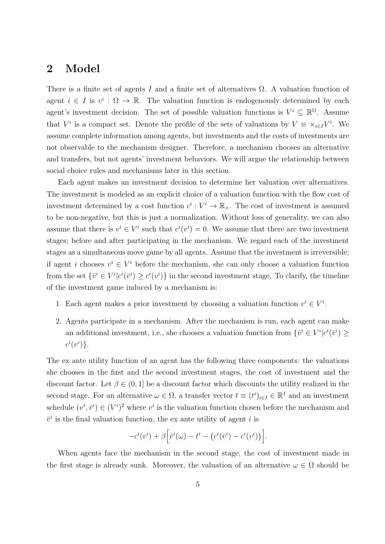### **2 Model**

There is a finite set of agents *I* and a finite set of alternatives  $\Omega$ . A valuation function of agent  $i \in I$  is  $v^i : \Omega \to \mathbb{R}$ . The valuation function is endogenously determined by each agent's investment decision. The set of possible valuation functions is  $V^i \subseteq \mathbb{R}^{\Omega}$ . Assume that  $V^i$  is a compact set. Denote the profile of the sets of valuations by  $V \equiv \times_{i \in I} V^i$ . We assume complete information among agents, but investments and the costs of investments are not observable to the mechanism designer. Therefore, a mechanism chooses an alternative and transfers, but not agents' investment behaviors. We will argue the relationship between social choice rules and mechanisms later in this section.

Each agent makes an investment decision to determine her valuation over alternatives. The investment is modeled as an explicit choice of a valuation function with the flow cost of investment determined by a cost function  $c^i: V^i \to \mathbb{R}_+$ . The cost of investment is assumed to be non-negative, but this is just a normalization. Without loss of generality, we can also assume that there is  $v^i \in V^i$  such that  $c^i(v^i) = 0$ . We assume that there are two investment stages; before and after participating in the mechanism. We regard each of the investment stages as a simultaneous move game by all agents. Assume that the investment is irreversible; if agent *i* chooses  $v^i \in V^i$  before the mechanism, she can only choose a valuation function from the set  $\{\bar{v}^i \in V^i | c^i(\bar{v}^i) \geq c^i(v^i)\}\$ in the second investment stage. To clarify, the timeline of the investment game induced by a mechanism is:

- 1. Each agent makes a prior investment by choosing a valuation function  $v^i \in V^i$ .
- 2. Agents participate in a mechanism. After the mechanism is run, each agent can make an additional investment, i.e., she chooses a valuation function from  $\{\bar{v}^i \in V^i | c^i(\bar{v}^i) \geq$  $c^i(v^i)$ .

The ex ante utility function of an agent has the following three components: the valuations she chooses in the first and the second investment stages, the cost of investment and the discount factor. Let  $\beta \in (0,1]$  be a discount factor which discounts the utility realized in the second stage. For an alternative  $\omega \in \Omega$ , a transfer vector  $t \equiv (t^i)_{i \in I} \in \mathbb{R}^I$  and an investment schedule  $(v^i, \bar{v}^i) \in (V^i)^2$  where  $v^i$  is the valuation function chosen before the mechanism and  $\bar{v}^i$  is the final valuation function, the ex ante utility of agent *i* is

$$
-c^i(v^i) + \beta \Big[\bar{v}^i(\omega) - t^i - (c^i(\bar{v}^i) - c^i(v^i))\Big].
$$

When agents face the mechanism in the second stage, the cost of investment made in the first stage is already sunk. Moreover, the valuation of an alternative  $\omega \in \Omega$  should be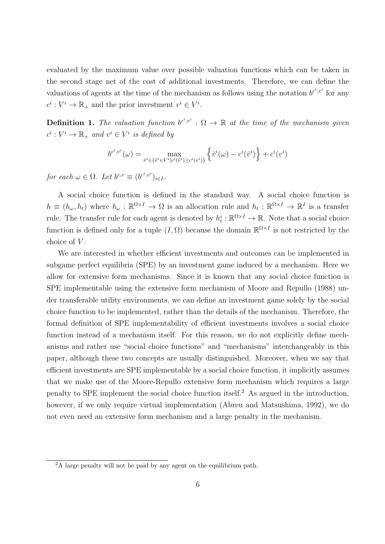evaluated by the maximum value over possible valuation functions which can be taken in the second stage net of the cost of additional investments. Therefore, we can define the valuations of agents at the time of the mechanism as follows using the notation  $b^{c^i,v^i}$  for any  $c^i: V^i \to \mathbb{R}_+$  and the prior investment  $v^i \in V^i$ .

**Definition 1.** The valuation function  $b^{c^i,v^i}$  :  $\Omega \to \mathbb{R}$  at the time of the mechanism given  $c^i: V^i \to \mathbb{R}_+$  *and*  $v^i \in V^i$  *is defined by* 

$$
b^{c^i, v^i}(\omega) = \max_{\bar{v}^i \in {\{\tilde{v}^i \in V^i | c^i(\tilde{v}^i) \geq c^i(v^i)\}} \left\{ \bar{v}^i(\omega) - c^i(\bar{v}^i) \right\} + c^i(v^i)
$$

*for each*  $\omega \in \Omega$ *. Let*  $b^{c,v} \equiv (b^{c^i,v^i})_{i \in I}$ *.* 

A social choice function is defined in the standard way. A social choice function is  $h \equiv (h_\omega, h_t)$  where  $h_\omega : \mathbb{R}^{\Omega \times I} \to \Omega$  is an allocation rule and  $h_t : \mathbb{R}^{\Omega \times I} \to \mathbb{R}^I$  is a transfer rule. The transfer rule for each agent is denoted by  $h_t^i : \mathbb{R}^{\Omega \times I} \to \mathbb{R}$ . Note that a social choice function is defined only for a tuple  $(I, \Omega)$  because the domain  $\mathbb{R}^{\Omega \times I}$  is not restricted by the choice of *V* .

We are interested in whether efficient investments and outcomes can be implemented in subgame perfect equilibria (SPE) by an investment game induced by a mechanism. Here we allow for extensive form mechanisms. Since it is known that any social choice function is SPE implementable using the extensive form mechanism of Moore and Repullo (1988) under transferable utility environments, we can define an investment game solely by the social choice function to be implemented, rather than the details of the mechanism. Therefore, the formal definition of SPE implementability of efficient investments involves a social choice function instead of a mechanism itself. For this reason, we do not explicitly define mechanisms and rather use "social choice functions" and "mechanisms" interchangeably in this paper, although these two concepts are usually distinguished. Moreover, when we say that efficient investments are SPE implementable by a social choice function, it implicitly assumes that we make use of the Moore-Repullo extensive form mechanism which requires a large penalty to SPE implement the social choice function itself.<sup>2</sup> As argued in the introduction, however, if we only require virtual implementation (Abreu and Matsushima, 1992), we do not even need an extensive form mechanism and a large penalty in the mechanism.

 $^{2}$ A large penalty will not be paid by any agent on the equilibrium path.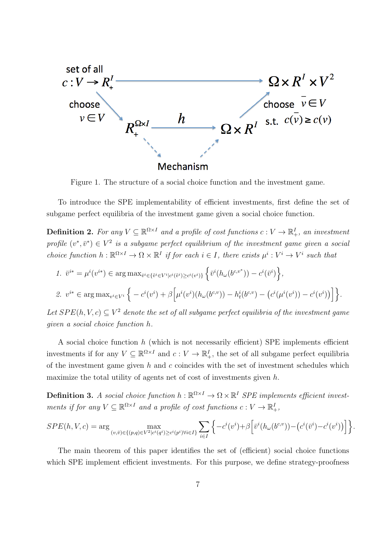

Figure 1. The structure of a social choice function and the investment game.

To introduce the SPE implementability of efficient investments, first define the set of subgame perfect equilibria of the investment game given a social choice function.

**Definition 2.** For any  $V \subseteq \mathbb{R}^{\Omega \times I}$  and a profile of cost functions  $c: V \to \mathbb{R}^I_+$ , an investment *profile*  $(v^*, \bar{v}^*) \in V^2$  *is a subgame perfect equilibrium of the investment game given a social* choice function  $h: \mathbb{R}^{\Omega \times I} \to \Omega \times \mathbb{R}^I$  if for each  $i \in I$ , there exists  $\mu^i: V^i \to V^i$  such that

1. 
$$
\bar{v}^{i*} = \mu^i(v^{i*}) \in \arg \max_{\bar{v}^i \in \{\tilde{v}^i \in V^i | c^i(\tilde{v}^i) \geq c^i(v^i)\}} \left\{ \bar{v}^i(h_\omega(b^{c,v^*})) - c^i(\bar{v}^i) \right\},\
$$

2. 
$$
v^{i*} \in \arg \max_{v^i \in V^i} \left\{ -c^i(v^i) + \beta \left[ \mu^i(v^i)(h_\omega(b^{c,v})) - h^i(t^{c,v}) - (c^i(\mu^i(v^i)) - c^i(v^i)) \right] \right\}.
$$

Let  $SPE(h, V, c) \subseteq V^2$  denote the set of all subgame perfect equilibria of the investment game *given a social choice function h.*

A social choice function *h* (which is not necessarily efficient) SPE implements efficient investments if for any  $V \subseteq \mathbb{R}^{\Omega \times I}$  and  $c: V \to \mathbb{R}^I_+$ , the set of all subgame perfect equilibria of the investment game given *h* and *c* coincides with the set of investment schedules which maximize the total utility of agents net of cost of investments given *h*.

**Definition 3.** *A social choice function*  $h: \mathbb{R}^{\Omega \times I} \to \Omega \times \mathbb{R}^I$  *SPE implements efficient investments if for any*  $V \subseteq \mathbb{R}^{\Omega \times I}$  *and a profile of cost functions*  $c: V \to \mathbb{R}^I_+$ ,

$$
SPE(h, V, c) = \arg \max_{(v, \bar{v}) \in \{(p, q) \in V^2 | c^i(q^i) \ge c^i(p^i) \forall i \in I\}} \sum_{i \in I} \left\{ -c^i(v^i) + \beta \left[ \bar{v}^i(h_\omega(b^{c, v})) - (c^i(\bar{v}^i) - c^i(v^i)) \right] \right\}.
$$

The main theorem of this paper identifies the set of (efficient) social choice functions which SPE implement efficient investments. For this purpose, we define strategy-proofness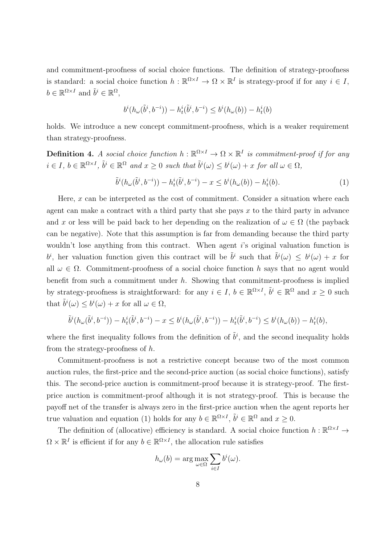and commitment-proofness of social choice functions. The definition of strategy-proofness is standard: a social choice function  $h : \mathbb{R}^{\Omega \times I} \to \Omega \times \mathbb{R}^I$  is strategy-proof if for any  $i \in I$ ,  $b \in \mathbb{R}^{\Omega \times I}$  and  $\tilde{b}^i \in \mathbb{R}^{\Omega}$ ,

$$
b^i(h_{\omega}(\tilde{b}^i,b^{-i})) - h^i_t(\tilde{b}^i,b^{-i}) \leq b^i(h_{\omega}(b)) - h^i_t(b)
$$

holds. We introduce a new concept commitment-proofness, which is a weaker requirement than strategy-proofness.

**Definition 4.** *A social choice function*  $h : \mathbb{R}^{\Omega \times I} \to \Omega \times \mathbb{R}^I$  *is commitment-proof if for any*  $i \in I, b \in \mathbb{R}^{\Omega \times I}, \tilde{b}^i \in \mathbb{R}^{\Omega}$  and  $x \ge 0$  such that  $\tilde{b}^i(\omega) \le b^i(\omega) + x$  for all  $\omega \in \Omega$ ,

$$
\tilde{b}^{i}(h_{\omega}(\tilde{b}^{i}, b^{-i})) - h_{t}^{i}(\tilde{b}^{i}, b^{-i}) - x \leq b^{i}(h_{\omega}(b)) - h_{t}^{i}(b).
$$
\n(1)

Here, *x* can be interpreted as the cost of commitment. Consider a situation where each agent can make a contract with a third party that she pays *x* to the third party in advance and *x* or less will be paid back to her depending on the realization of  $\omega \in \Omega$  (the payback can be negative). Note that this assumption is far from demanding because the third party wouldn't lose anything from this contract. When agent *i*'s original valuation function is *b*<sup>*i*</sup>, her valuation function given this contract will be  $\tilde{b}$ <sup>*i*</sup> such that  $\tilde{b}$ <sup>*i*</sup>(*ω*)  $\leq b$ <sup>*i*</sup>(*ω*) + *x* for all  $\omega \in \Omega$ . Commitment-proofness of a social choice function *h* says that no agent would benefit from such a commitment under *h*. Showing that commitment-proofness is implied by strategy-proofness is straightforward: for any  $i \in I$ ,  $b \in \mathbb{R}^{\Omega \times I}$ ,  $\tilde{b}^i \in \mathbb{R}^{\Omega}$  and  $x \ge 0$  such that  $\tilde{b}^i(\omega) \leq b^i(\omega) + x$  for all  $\omega \in \Omega$ ,

$$
\tilde{b}^i(h_\omega(\tilde{b}^i, b^{-i})) - h^i_t(\tilde{b}^i, b^{-i}) - x \le b^i(h_\omega(\tilde{b}^i, b^{-i})) - h^i_t(\tilde{b}^i, b^{-i}) \le b^i(h_\omega(b)) - h^i_t(b),
$$

where the first inequality follows from the definition of  $\tilde{b}^i$ , and the second inequality holds from the strategy-proofness of *h*.

Commitment-proofness is not a restrictive concept because two of the most common auction rules, the first-price and the second-price auction (as social choice functions), satisfy this. The second-price auction is commitment-proof because it is strategy-proof. The firstprice auction is commitment-proof although it is not strategy-proof. This is because the payoff net of the transfer is always zero in the first-price auction when the agent reports her true valuation and equation (1) holds for any  $b \in \mathbb{R}^{\Omega \times I}$ ,  $\tilde{b}^i \in \mathbb{R}^{\Omega}$  and  $x \ge 0$ .

The definition of (allocative) efficiency is standard. A social choice function  $h: \mathbb{R}^{\Omega \times I} \to$  $\Omega \times \mathbb{R}^I$  is efficient if for any  $b \in \mathbb{R}^{\Omega \times I}$ , the allocation rule satisfies

$$
h_{\omega}(b) = \arg \max_{\omega \in \Omega} \sum_{i \in I} b^{i}(\omega).
$$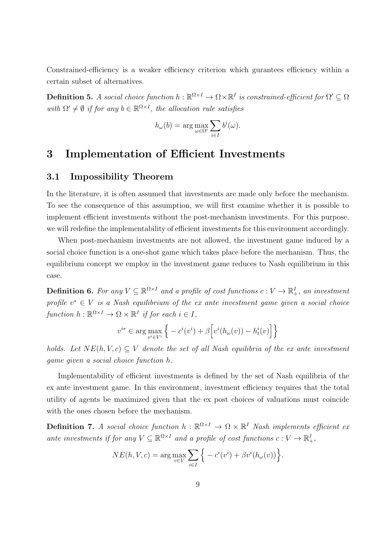Constrained-efficiency is a weaker efficiency criterion which gurantees efficiency within a certain subset of alternatives.

**Definition 5.** *A social choice function*  $h : \mathbb{R}^{\Omega \times I} \to \Omega \times \mathbb{R}^I$  *is constrained-efficient for*  $\Omega' \subseteq \Omega$ *with*  $\Omega' \neq \emptyset$  *if for any*  $b \in \mathbb{R}^{\Omega \times I}$ , the allocation rule satisfies

$$
h_{\omega}(b) = \arg \max_{\omega \in \Omega'} \sum_{i \in I} b^{i}(\omega).
$$

### **3 Implementation of Efficient Investments**

#### **3.1 Impossibility Theorem**

In the literature, it is often assumed that investments are made only before the mechanism. To see the consequence of this assumption, we will first examine whether it is possible to implement efficient investments without the post-mechanism investments. For this purpose, we will redefine the implementability of efficient investments for this environment accordingly.

When post-mechanism investments are not allowed, the investment game induced by a social choice function is a one-shot game which takes place before the mechanism. Thus, the equilibrium concept we employ in the investment game reduces to Nash equilibrium in this case.

**Definition 6.** For any  $V \subseteq \mathbb{R}^{\Omega \times I}$  and a profile of cost functions  $c: V \to \mathbb{R}^I_+$ , an investment *profile*  $v^* \in V$  *is a Nash equilibrium of the ex ante investment game given a social choice*  $function h: \mathbb{R}^{\Omega \times I} \to \Omega \times \mathbb{R}^I$  *if for each*  $i \in I$ *,* 

$$
v^{i*} \in \arg\max_{v^i \in V^i} \left\{ -c^i(v^i) + \beta \left[ v^i(h_\omega(v)) - h^i_t(v) \right] \right\}
$$

*holds.* Let  $NE(h, V, c) \subseteq V$  denote the set of all Nash equilibria of the ex ante investment *game given a social choice function h.*

Implementability of efficient investments is defined by the set of Nash equilibria of the ex ante investment game. In this environment, investment efficiency requires that the total utility of agents be maximized given that the ex post choices of valuations must coincide with the ones chosen before the mechanism.

**Definition 7.** *A social choice function*  $h : \mathbb{R}^{\Omega \times I} \to \Omega \times \mathbb{R}^I$  *Nash implements efficient ex ante investments if for any*  $V \subseteq \mathbb{R}^{\Omega \times I}$  *and a profile of cost functions*  $c: V \to \mathbb{R}^I_+$ ,

$$
NE(h, V, c) = \arg \max_{v \in V} \sum_{i \in I} \Big\{ -c^i(v^i) + \beta v^i(h_\omega(v)) \Big\}.
$$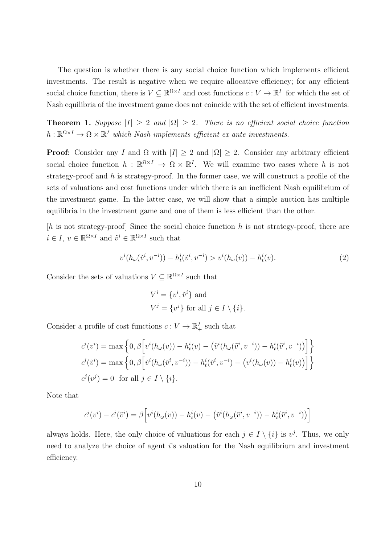The question is whether there is any social choice function which implements efficient investments. The result is negative when we require allocative efficiency; for any efficient social choice function, there is  $V \subseteq \mathbb{R}^{\Omega \times I}$  and cost functions  $c: V \to \mathbb{R}^I_+$  for which the set of Nash equilibria of the investment game does not coincide with the set of efficient investments.

**Theorem 1.** *Suppose*  $|I| \geq 2$  *and*  $|\Omega| \geq 2$ *. There is no efficient social choice function*  $h: \mathbb{R}^{\Omega \times I} \to \Omega \times \mathbb{R}^I$  *which Nash implements efficient ex ante investments.* 

**Proof:** Consider any *I* and  $\Omega$  with  $|I| \geq 2$  and  $|\Omega| \geq 2$ . Consider any arbitrary efficient social choice function  $h : \mathbb{R}^{\Omega \times I} \to \Omega \times \mathbb{R}^I$ . We will examine two cases where h is not strategy-proof and *h* is strategy-proof. In the former case, we will construct a profile of the sets of valuations and cost functions under which there is an inefficient Nash equilibrium of the investment game. In the latter case, we will show that a simple auction has multiple equilibria in the investment game and one of them is less efficient than the other.

[*h* is not strategy-proof] Since the social choice function *h* is not strategy-proof, there are  $i \in I, v \in \mathbb{R}^{\Omega \times I}$  and  $\tilde{v}^i \in \mathbb{R}^{\Omega \times I}$  such that

$$
v^{i}(h_{\omega}(\tilde{v}^{i}, v^{-i})) - h^{i}_{t}(\tilde{v}^{i}, v^{-i}) > v^{i}(h_{\omega}(v)) - h^{i}_{t}(v).
$$
\n(2)

Consider the sets of valuations  $V \subseteq \mathbb{R}^{\Omega \times I}$  such that

$$
V^i = \{v^i, \tilde{v}^i\} \text{ and}
$$
  

$$
V^j = \{v^j\} \text{ for all } j \in I \setminus \{i\}.
$$

Consider a profile of cost functions  $c: V \to \mathbb{R}^I_+$  such that

$$
c^i(v^i) = \max\left\{0, \beta\left[v^i(h_\omega(v)) - h^i_t(v) - (\tilde{v}^i(h_\omega(\tilde{v}^i, v^{-i})) - h^i_t(\tilde{v}^i, v^{-i}))\right]\right\}
$$
  

$$
c^i(\tilde{v}^i) = \max\left\{0, \beta\left[\tilde{v}^i(h_\omega(\tilde{v}^i, v^{-i})) - h^i_t(\tilde{v}^i, v^{-i}) - (v^i(h_\omega(v)) - h^i_t(v))\right]\right\}
$$
  

$$
c^j(v^j) = 0 \text{ for all } j \in I \setminus \{i\}.
$$

Note that

$$
c^i(v^i) - c^i(\tilde{v}^i) = \beta \Big[ v^i(h_\omega(v)) - h^i_t(v) - (\tilde{v}^i(h_\omega(\tilde{v}^i, v^{-i})) - h^i_t(\tilde{v}^i, v^{-i})) \Big]
$$

always holds. Here, the only choice of valuations for each  $j \in I \setminus \{i\}$  is  $v^j$ . Thus, we only need to analyze the choice of agent *i*'s valuation for the Nash equilibrium and investment efficiency.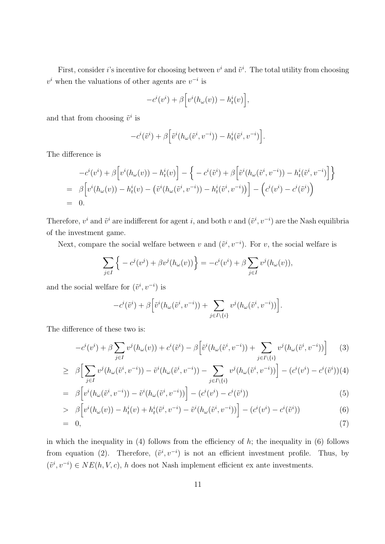First, consider *i*'s incentive for choosing between  $v^i$  and  $\tilde{v}^i$ . The total utility from choosing  $v^i$  when the valuations of other agents are  $v^{-i}$  is

$$
-c^{i}(v^{i}) + \beta \Big[v^{i}(h_{\omega}(v)) - h^{i}(v)\Big],
$$

and that from choosing  $\tilde{v}^i$  is

$$
-c^{i}(\tilde{v}^{i})+\beta\Big[\tilde{v}^{i}(h_{\omega}(\tilde{v}^{i},v^{-i})) - h^{i}_{t}(\tilde{v}^{i},v^{-i})\Big].
$$

The difference is

$$
-c^{i}(v^{i}) + \beta \left[ v^{i}(h_{\omega}(v)) - h_{t}^{i}(v) \right] - \left\{ -c^{i}(\tilde{v}^{i}) + \beta \left[ \tilde{v}^{i}(h_{\omega}(\tilde{v}^{i}, v^{-i})) - h_{t}^{i}(\tilde{v}^{i}, v^{-i}) \right] \right\}
$$
  
=  $\beta \left[ v^{i}(h_{\omega}(v)) - h_{t}^{i}(v) - (\tilde{v}^{i}(h_{\omega}(\tilde{v}^{i}, v^{-i})) - h_{t}^{i}(\tilde{v}^{i}, v^{-i})) \right] - (c^{i}(v^{i}) - c^{i}(\tilde{v}^{i}))$   
= 0.

Therefore,  $v^i$  and  $\tilde{v}^i$  are indifferent for agent *i*, and both  $v$  and  $(\tilde{v}^i, v^{-i})$  are the Nash equilibria of the investment game.

Next, compare the social welfare between *v* and  $(\tilde{v}^i, v^{-i})$ . For *v*, the social welfare is

$$
\sum_{j\in I} \left\{ -c^j(v^j) + \beta v^j(h_\omega(v)) \right\} = -c^i(v^i) + \beta \sum_{j\in I} v^j(h_\omega(v)),
$$

and the social welfare for  $(\tilde{v}^i, v^{-i})$  is

$$
-c^{i}(\tilde{v}^{i})+\beta\Big[\tilde{v}^{i}(h_{\omega}(\tilde{v}^{i},v^{-i}))+\sum_{j\in I\setminus\{i\}}v^{j}(h_{\omega}(\tilde{v}^{i},v^{-i}))\Big].
$$

The difference of these two is:

$$
-c^i(v^i) + \beta \sum_{j \in I} v^j(h_\omega(v)) + c^i(\tilde{v}^i) - \beta \Big[\tilde{v}^i(h_\omega(\tilde{v}^i, v^{-i})) + \sum_{j \in I \setminus \{i\}} v^j(h_\omega(\tilde{v}^i, v^{-i}))\Big] \tag{3}
$$

$$
\geq \beta \Big[ \sum_{j \in I} v^j (h_{\omega}(\tilde{v}^i, v^{-i})) - \tilde{v}^i (h_{\omega}(\tilde{v}^i, v^{-i})) - \sum_{j \in I \setminus \{i\}} v^j (h_{\omega}(\tilde{v}^i, v^{-i})) \Big] - (c^i(v^i) - c^i(\tilde{v}^i))(4)
$$

$$
= \beta \left[ v^i(h_\omega(\tilde{v}^i, v^{-i})) - \tilde{v}^i(h_\omega(\tilde{v}^i, v^{-i})) \right] - (c^i(v^i) - c^i(\tilde{v}^i)) \tag{5}
$$

> 
$$
\beta \left[ v^i(h_\omega(v)) - h^i_t(v) + h^i_t(\tilde{v}^i, v^{-i}) - \tilde{v}^i(h_\omega(\tilde{v}^i, v^{-i})) \right] - (c^i(v^i) - c^i(\tilde{v}^i))
$$
 (6)

$$
= 0, \t(7)
$$

in which the inequality in  $(4)$  follows from the efficiency of *h*; the inequality in  $(6)$  follows from equation (2). Therefore,  $(\tilde{v}^i, v^{-i})$  is not an efficient investment profile. Thus, by  $(\tilde{v}^i, v^{-i}) \in NE(h, V, c)$ , *h* does not Nash implement efficient ex ante investments.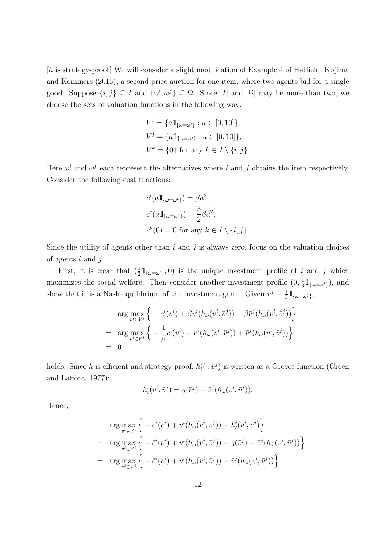[*h* is strategy-proof] We will consider a slight modification of Example 4 of Hatfield, Kojima and Kominers (2015); a second-price auction for one item, where two agents bid for a single good. Suppose  $\{i, j\} \subseteq I$  and  $\{\omega^i, \omega^j\} \subseteq \Omega$ . Since  $|I|$  and  $|\Omega|$  may be more than two, we choose the sets of valuation functions in the following way:

$$
V^{i} = \{a1_{\{\omega = \omega^{i}\}} : a \in [0, 10]\},
$$
  
\n
$$
V^{j} = \{a1_{\{\omega = \omega^{j}\}} : a \in [0, 10]\},
$$
  
\n
$$
V^{k} = \{0\} \text{ for any } k \in I \setminus \{i, j\}.
$$

Here  $\omega^i$  and  $\omega^j$  each represent the alternatives where *i* and *j* obtains the item respectively. Consider the following cost functions:

$$
c^{i}(a1_{\{\omega=\omega^{i}\}}) = \beta a^{2},
$$
  
\n
$$
c^{j}(a1_{\{\omega=\omega^{j}\}}) = \frac{3}{2}\beta a^{2},
$$
  
\n
$$
c^{k}(0) = 0 \text{ for any } k \in I \setminus \{i, j\}.
$$

Since the utility of agents other than *i* and *j* is always zero, focus on the valuation choices of agents *i* and *j*.

First, it is clear that  $(\frac{1}{2} \mathbb{1}_{\{\omega = \omega^i\}}, 0)$  is the unique investment profile of *i* and *j* which maximizes the social welfare. Then consider another investment profile  $(0, \frac{1}{3})$  $\frac{1}{3}$   $\mathbb{1}_{\{\omega=\omega^j\}}$ , and show that it is a Nash equilibrium of the investment game. Given  $\bar{v}^j \equiv \frac{1}{3}$  $\frac{1}{3}$  1<sub>{</sub> $\omega = \omega^j$ },

$$
\arg\max_{v^i \in V^i} \left\{ -c^i(v^i) + \beta v^i(h_\omega(v^i, \bar{v}^j)) + \beta \bar{v}^j(h_\omega(v^i, \bar{v}^j)) \right\}
$$
  
= 
$$
\arg\max_{v^i \in V^i} \left\{ -\frac{1}{\beta}c^i(v^i) + v^i(h_\omega(v^i, \bar{v}^j)) + \bar{v}^j(h_\omega(v^i, \bar{v}^j)) \right\}
$$
  
= 0

holds. Since *h* is efficient and strategy-proof,  $h_t^i(\cdot, \bar{v}^j)$  is written as a Groves function (Green and Laffont, 1977):

$$
h_t^i(v^i, \bar{v}^j) = g(\bar{v}^j) - \bar{v}^j(h_\omega(v^i, \bar{v}^j)).
$$

Hence,

$$
\arg \max_{v^i \in V^i} \left\{ -\bar{c}^i(v^i) + v^i(h_\omega(v^i, \bar{v}^j)) - h^i_t(v^i, \bar{v}^j) \right\} \n= \arg \max_{v^i \in V^i} \left\{ -\bar{c}^i(v^i) + v^i(h_\omega(v^i, \bar{v}^j)) - g(\bar{v}^j) + \bar{v}^j(h_\omega(v^i, \bar{v}^j)) \right\} \n= \arg \max_{v^i \in V^i} \left\{ -\bar{c}^i(v^i) + v^i(h_\omega(v^i, \bar{v}^j)) + \bar{v}^j(h_\omega(v^i, \bar{v}^j)) \right\}
$$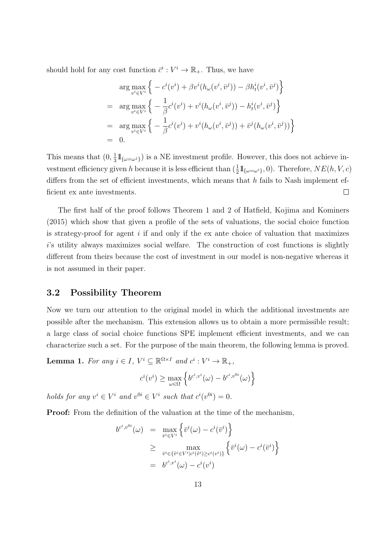should hold for any cost function  $\bar{c}^i: V^i \to \mathbb{R}_+$ . Thus, we have

$$
\arg \max_{v^i \in V^i} \left\{ -c^i(v^i) + \beta v^i(h_\omega(v^i, \bar{v}^j)) - \beta h^i_t(v^i, \bar{v}^j) \right\}
$$
\n
$$
= \arg \max_{v^i \in V^i} \left\{ -\frac{1}{\beta} c^i(v^i) + v^i(h_\omega(v^i, \bar{v}^j)) - h^i_t(v^i, \bar{v}^j) \right\}
$$
\n
$$
= \arg \max_{v^i \in V^i} \left\{ -\frac{1}{\beta} c^i(v^i) + v^i(h_\omega(v^i, \bar{v}^j)) + \bar{v}^j(h_\omega(v^i, \bar{v}^j)) \right\}
$$
\n
$$
= 0.
$$

This means that  $(0, \frac{1}{3})$  $\frac{1}{3}$   $\mathbb{1}_{\{\omega=\omega^j\}}$  is a NE investment profile. However, this does not achieve investment efficiency given *h* because it is less efficient than  $(\frac{1}{2} 1\mathbb{I}_{\{\omega = \omega^i\}}, 0)$ . Therefore,  $NE(h, V, c)$ differs from the set of efficient investments, which means that *h* fails to Nash implement efficient ex ante investments.  $\Box$ 

The first half of the proof follows Theorem 1 and 2 of Hatfield, Kojima and Kominers (2015) which show that given a profile of the sets of valuations, the social choice function is strategy-proof for agent *i* if and only if the ex ante choice of valuation that maximizes *i*'s utility always maximizes social welfare. The construction of cost functions is slightly different from theirs because the cost of investment in our model is non-negative whereas it is not assumed in their paper.

#### **3.2 Possibility Theorem**

Now we turn our attention to the original model in which the additional investments are possible after the mechanism. This extension allows us to obtain a more permissible result; a large class of social choice functions SPE implement efficient investments, and we can characterize such a set. For the purpose of the main theorem, the following lemma is proved.

**Lemma 1.** For any  $i \in I$ ,  $V^i \subseteq \mathbb{R}^{\Omega \times I}$  and  $c^i : V^i \to \mathbb{R}_+$ ,

$$
c^i(v^i) \ge \max_{\omega \in \Omega} \left\{ b^{c^i, v^i}(\omega) - b^{c^i, v^{0i}}(\omega) \right\}
$$

*holds for any*  $v^i \in V^i$  *and*  $v^{0i} \in V^i$  *such that*  $c^i(v^{0i}) = 0$ .

**Proof:** From the definition of the valuation at the time of the mechanism,

$$
b^{c^i, v^{0i}}(\omega) = \max_{\bar{v}^i \in V^i} \left\{ \bar{v}^i(\omega) - c^i(\bar{v}^i) \right\}
$$
  
\n
$$
\geq \max_{\bar{v}^i \in \{\bar{v}^i \in V^i | c^i(\bar{v}^i) \geq c^i(v^i)\}} \left\{ \bar{v}^i(\omega) - c^i(\bar{v}^i) \right\}
$$
  
\n
$$
= b^{c^i, v^i}(\omega) - c^i(v^i)
$$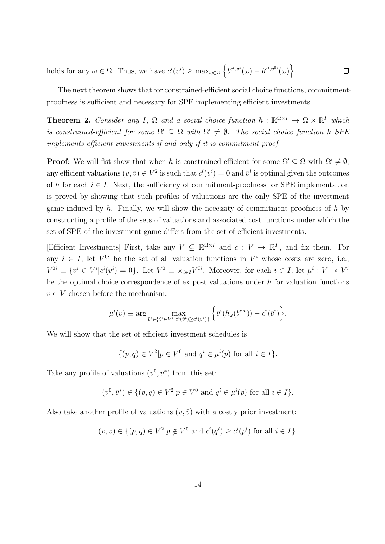holds for any  $\omega \in \Omega$ . Thus, we have  $c^i(v^i) \geq \max_{\omega \in \Omega} \left\{ b^{c^i, v^i}(\omega) - b^{c^i, v^{0i}}(\omega) \right\}$ .  $\Box$ 

The next theorem shows that for constrained-efficient social choice functions, commitmentproofness is sufficient and necessary for SPE implementing efficient investments.

**Theorem 2.** *Consider any I*,  $\Omega$  *and a social choice function*  $h : \mathbb{R}^{\Omega \times I} \to \Omega \times \mathbb{R}^I$  *which is constrained-efficient for some*  $\Omega' \subseteq \Omega$  *with*  $\Omega' \neq \emptyset$ . The social choice function *h* SPE *implements efficient investments if and only if it is commitment-proof.*

**Proof:** We will fist show that when *h* is constrained-efficient for some  $\Omega' \subseteq \Omega$  with  $\Omega' \neq \emptyset$ , any efficient valuations  $(v, \bar{v}) \in V^2$  is such that  $c^i(v^i) = 0$  and  $\bar{v}^i$  is optimal given the outcomes of *h* for each  $i \in I$ . Next, the sufficiency of commitment-proofness for SPE implementation is proved by showing that such profiles of valuations are the only SPE of the investment game induced by *h*. Finally, we will show the necessity of commitment proofness of *h* by constructing a profile of the sets of valuations and associated cost functions under which the set of SPE of the investment game differs from the set of efficient investments.

[Efficient Investments] First, take any  $V \subseteq \mathbb{R}^{\Omega \times I}$  and  $c: V \to \mathbb{R}^I_+$ , and fix them. For any  $i \in I$ , let  $V^{0i}$  be the set of all valuation functions in  $V^i$  whose costs are zero, i.e.,  $V^{0i} \equiv \{v^i \in V^i | c^i(v^i) = 0\}.$  Let  $V^0 \equiv \times_{i \in I} V^{0i}$ . Moreover, for each  $i \in I$ , let  $\mu^i : V \twoheadrightarrow V^i$ be the optimal choice correspondence of ex post valuations under *h* for valuation functions  $v \in V$  chosen before the mechanism:

$$
\mu^i(v) \equiv \arg\max_{\bar{v}^i \in \{\tilde{v}^i \in V^i | c^i(\tilde{v}^i) \ge c^i(v^i)\}} \left\{ \bar{v}^i(h_\omega(b^{c,v})) - c^i(\bar{v}^i) \right\}.
$$

We will show that the set of efficient investment schedules is

$$
\{(p,q)\in V^2|p\in V^0 \text{ and } q^i\in \mu^i(p) \text{ for all } i\in I\}.
$$

Take any profile of valuations  $(v^0, \bar{v}^*)$  from this set:

$$
(v^0, \bar{v}^*) \in \{(p, q) \in V^2 | p \in V^0 \text{ and } q^i \in \mu^i(p) \text{ for all } i \in I\}.
$$

Also take another profile of valuations  $(v, \bar{v})$  with a costly prior investment:

$$
(v, \overline{v}) \in \{(p,q) \in V^2 | p \notin V^0 \text{ and } c^i(q^i) \geq c^i(p^i) \text{ for all } i \in I\}.
$$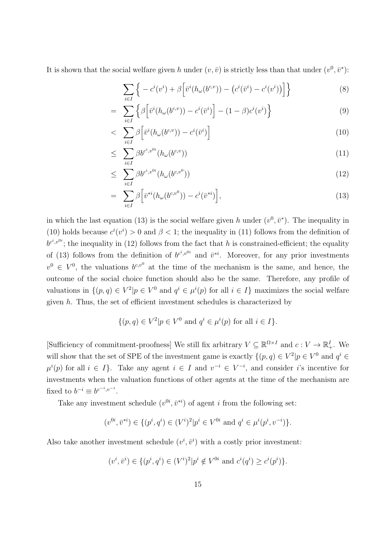It is shown that the social welfare given *h* under  $(v, \bar{v})$  is strictly less than that under  $(v^0, \bar{v}^*)$ :

$$
\sum_{i\in I} \left\{ -c^i(v^i) + \beta \left[ \bar{v}^i(h_\omega(b^{c,v})) - \left( c^i(\bar{v}^i) - c^i(v^i) \right) \right] \right\} \tag{8}
$$

$$
= \sum_{i \in I} \left\{ \beta \left[ \bar{v}^i(h_\omega(b^{c,v})) - c^i(\bar{v}^i) \right] - (1 - \beta)c^i(v^i) \right\} \tag{9}
$$

$$
<\sum_{i\in I}\beta\Big[\bar{v}^i(h_{\omega}(b^{c,v})) - c^i(\bar{v}^i)\Big] \tag{10}
$$

$$
\leq \sum_{i \in I} \beta b^{c^i, v^{0i}} (h_{\omega}(b^{c,v})) \tag{11}
$$

$$
\leq \sum_{i \in I} \beta b^{c^i, v^{0i}} (h_{\omega}(b^{c, v^0})) \tag{12}
$$

$$
= \sum_{i \in I} \beta \Big[ \bar{v}^{*i} (h_{\omega}(b^{c,v^0})) - c^i(\bar{v}^{*i}) \Big], \tag{13}
$$

in which the last equation (13) is the social welfare given *h* under  $(v^0, \bar{v}^*)$ . The inequality in (10) holds because  $c^i(v^i) > 0$  and  $\beta < 1$ ; the inequality in (11) follows from the definition of  $b^{c^i,v^{0i}}$ ; the inequality in (12) follows from the fact that *h* is constrained-efficient; the equality of (13) follows from the definition of  $b^{c^i,v^{0i}}$  and  $\bar{v}^{*i}$ . Moreover, for any prior investments  $v^0 \in V^0$ , the valuations  $b^{c,v^0}$  at the time of the mechanism is the same, and hence, the outcome of the social choice function should also be the same. Therefore, any profile of valuations in  $\{(p,q) \in V^2 | p \in V^0 \text{ and } q^i \in \mu^i(p) \text{ for all } i \in I\}$  maximizes the social welfare given *h*. Thus, the set of efficient investment schedules is characterized by

$$
\{(p,q)\in V^2|p\in V^0 \text{ and } q^i\in \mu^i(p) \text{ for all } i\in I\}.
$$

[Sufficiency of commitment-proofness] We still fix arbitrary  $V \subseteq \mathbb{R}^{\Omega \times I}$  and  $c: V \to \mathbb{R}^I_+$ . We will show that the set of SPE of the investment game is exactly  $\{(p,q) \in V^2 | p \in V^0 \text{ and } q^i \in$  $\mu^{i}(p)$  for all  $i \in I$ }. Take any agent  $i \in I$  and  $v^{-i} \in V^{-i}$ , and consider *i*'s incentive for investments when the valuation functions of other agents at the time of the mechanism are fixed to  $b^{-i} \equiv b^{c^{-i}, v^{-i}}$ .

Take any investment schedule  $(v^{0i}, \bar{v}^{*i})$  of agent *i* from the following set:

$$
(v^{0i}, \bar{v}^{*i}) \in \{(p^i, q^i) \in (V^i)^2 | p^i \in V^{0i} \text{ and } q^i \in \mu^i(p^i, v^{-i})\}.
$$

Also take another investment schedule  $(v^i, \bar{v}^i)$  with a costly prior investment:

$$
(v^i, \bar{v}^i) \in \{(p^i, q^i) \in (V^i)^2 | p^i \notin V^{0i} \text{ and } c^i(q^i) \geq c^i(p^i)\}.
$$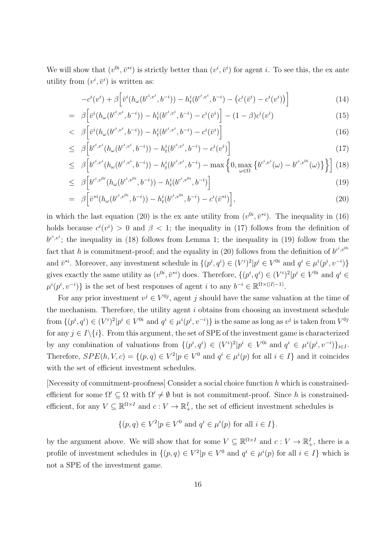We will show that  $(v^{0i}, \bar{v}^*)$  is strictly better than  $(v^i, \bar{v}^i)$  for agent *i*. To see this, the ex ante utility from  $(v^i, \bar{v}^i)$  is written as:

$$
-c^{i}(v^{i}) + \beta \left[\bar{v}^{i}(h_{\omega}(b^{c^{i},v^{i}},b^{-i})) - h_{t}^{i}(b^{c^{i},v^{i}},b^{-i}) - (c^{i}(\bar{v}^{i}) - c^{i}(v^{i}))\right]
$$
\n(14)

$$
= \beta \left[ \bar{v}^i (h_{\omega}(b^{c^i, v^i}, b^{-i})) - h^i_t (b^{c^i, v^i}, b^{-i}) - c^i(\bar{v}^i) \right] - (1 - \beta) c^i(v^i)
$$
\n(15)

$$
<\quad \beta\Big[\bar{v}^i(h_\omega(b^{c^i,v^i},b^{-i})) - h^i_t(b^{c^i,v^i},b^{-i}) - c^i(\bar{v}^i)\Big] \tag{16}
$$

$$
\leq \beta \left[ b^{c^i, v^i} (h_{\omega} (b^{c^i, v^i}, b^{-i})) - h_t^i (b^{c^i, v^i}, b^{-i}) - c^i (v^i) \right] \tag{17}
$$

$$
\leq \beta \Big[ b^{c^i, v^i} (h_{\omega}(b^{c^i, v^i}, b^{-i})) - h_t^i(b^{c^i, v^i}, b^{-i}) - \max \Big\{ 0, \max_{\omega \in \Omega} \left\{ b^{c^i, v^i} (\omega) - b^{c^i, v^{0i}} (\omega) \right\} \Big\} \Big] \tag{18}
$$

$$
\leq \beta \left[ b^{c^i, v^{0i}} (h_{\omega} (b^{c^i, v^{0i}}, b^{-i})) - h_t^i (b^{c^i, v^{0i}}, b^{-i}) \right]
$$
\n(19)

$$
= \beta \left[ \bar{v}^{*i} (h_{\omega}(b^{c^i, v^{0i}}, b^{-i})) - h_t^i(b^{c^i, v^{0i}}, b^{-i}) - c^i(\bar{v}^{*i}) \right], \tag{20}
$$

in which the last equation (20) is the ex ante utility from  $(v^{0i}, \bar{v}^{*i})$ . The inequality in (16) holds because  $c^{i}(v^{i}) > 0$  and  $\beta < 1$ ; the inequality in (17) follows from the definition of  $b^{c^i,v^i}$ ; the inequality in (18) follows from Lemma 1; the inequality in (19) follow from the fact that *h* is commitment-proof; and the equality in (20) follows from the definition of  $b^{c^i,v^{0i}}$ and  $\bar{v}^{*i}$ . Moreover, any investment schedule in  $\{(p^i, q^i) \in (V^i)^2 | p^i \in V^{0i} \text{ and } q^i \in \mu^i(p^i, v^{-i})\}$ gives exactly the same utility as  $(v^{0i}, \bar{v}^{*i})$  does. Therefore,  $\{(p^i, q^i) \in (V^i)^2 | p^i \in V^{0i} \text{ and } q^i \in$  $\mu^{i}(p^{i}, v^{-i})$ } is the set of best responses of agent *i* to any  $b^{-i} \in \mathbb{R}^{\Omega \times (|I|-1)}$ .

For any prior investment  $v^j \in V^{0j}$ , agent *j* should have the same valuation at the time of the mechanism. Therefore, the utility agent *i* obtains from choosing an investment schedule from  $\{(p^i, q^i) \in (V^i)^2 | p^i \in V^{0i} \text{ and } q^i \in \mu^i(p^i, v^{-i})\}$  is the same as long as  $v^j$  is taken from  $V^{0j}$ for any  $j \in I \setminus \{i\}$ . From this argument, the set of SPE of the investment game is characterized by any combination of valuations from  $\{(p^i, q^i) \in (V^i)^2 | p^i \in V^{0i} \text{ and } q^i \in \mu^i(p^i, v^{-i})\}_{i \in I}.$ Therefore,  $SPE(h, V, c) = \{(p, q) \in V^2 | p \in V^0 \text{ and } q^i \in \mu^i(p) \text{ for all } i \in I\}$  and it coincides with the set of efficient investment schedules.

[Necessity of commitment-proofness] Consider a social choice function *h* which is constrainedefficient for some  $\Omega' \subseteq \Omega$  with  $\Omega' \neq \emptyset$  but is not commitment-proof. Since *h* is constrainedefficient, for any  $V \subseteq \mathbb{R}^{\Omega \times I}$  and  $c: V \to \mathbb{R}^I_+$ , the set of efficient investment schedules is

$$
\{(p,q)\in V^2|p\in V^0 \text{ and } q^i\in \mu^i(p) \text{ for all } i\in I\}.
$$

by the argument above. We will show that for some  $V \subseteq \mathbb{R}^{\Omega \times I}$  and  $c: V \to \mathbb{R}^I_+$ , there is a profile of investment schedules in  $\{(p,q) \in V^2 | p \in V^0 \text{ and } q^i \in \mu^i(p) \text{ for all } i \in I\}$  which is not a SPE of the investment game.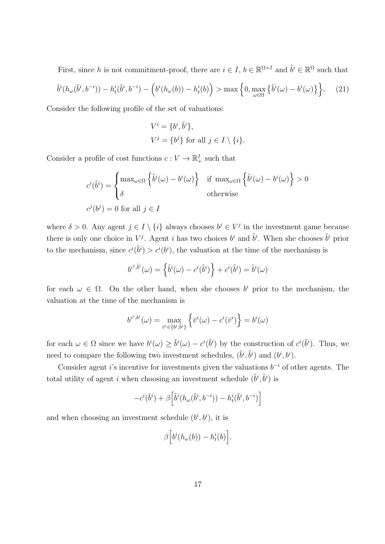First, since *h* is not commitment-proof, there are  $i \in I$ ,  $b \in \mathbb{R}^{\Omega \times I}$  and  $\tilde{b}^i \in \mathbb{R}^{\Omega}$  such that

$$
\tilde{b}^i(h_\omega(\tilde{b}^i, b^{-i})) - h^i_t(\tilde{b}^i, b^{-i}) - \left(b^i(h_\omega(b)) - h^i_t(b)\right) > \max\left\{0, \max_{\omega \in \Omega} \left\{\tilde{b}^i(\omega) - b^i(\omega)\right\}\right\}.
$$
 (21)

Consider the following profile of the set of valuations:

$$
V^i = \{b^i, \tilde{b}^i\},
$$
  

$$
V^j = \{b^j\}
$$
 for all  $j \in I \setminus \{i\}.$ 

Consider a profile of cost functions  $c: V \to \mathbb{R}^I_+$  such that

$$
c^{i}(\tilde{b}^{i}) = \begin{cases} \max_{\omega \in \Omega} \left\{ \tilde{b}^{i}(\omega) - b^{i}(\omega) \right\} & \text{if } \max_{\omega \in \Omega} \left\{ \tilde{b}^{i}(\omega) - b^{i}(\omega) \right\} > 0 \\ \delta & \text{otherwise} \end{cases}
$$

$$
c^{j}(b^{j}) = 0 \text{ for all } j \in I
$$

where  $\delta > 0$ . Any agent  $j \in I \setminus \{i\}$  always chooses  $b^j \in V^j$  in the investment game because there is only one choice in  $V^j$ . Agent *i* has two choices  $b^i$  and  $\tilde{b}^i$ . When she chooses  $\tilde{b}^i$  prior to the mechanism, since  $c^{i}(\tilde{b}^{i}) > c^{i}(b^{i})$ , the valuation at the time of the mechanism is

$$
b^{c^i, \tilde{b}^i}(\omega) = \left\{ \tilde{b}^i(\omega) - c^i(\tilde{b}^i) \right\} + c^i(\tilde{b}^i) = \tilde{b}^i(\omega)
$$

for each  $\omega \in \Omega$ . On the other hand, when she chooses  $b^i$  prior to the mechanism, the valuation at the time of the mechanism is

$$
b^{c^i, b^i}(\omega) = \max_{\bar{v}^i \in \{b^i, \tilde{b}^i\}} \left\{ \bar{v}^i(\omega) - c^i(\bar{v}^i) \right\} = b^i(\omega)
$$

for each  $\omega \in \Omega$  since we have  $b^i(\omega) \geq \tilde{b}^i(\omega) - c^i(\tilde{b}^i)$  by the construction of  $c^i(\tilde{b}^i)$ . Thus, we need to compare the following two investment schedules,  $(\tilde{b}^i, \tilde{b}^i)$  and  $(b^i, b^i)$ .

Consider agent *i*'s incentive for investments given the valuations *b <sup>−</sup><sup>i</sup>* of other agents. The total utility of agent *i* when choosing an investment schedule  $(\tilde{b}^i, \tilde{b}^i)$  is

$$
-c^i(\tilde{b}^i)+\beta\Big[\tilde{b}^i(h_{\omega}(\tilde{b}^i,b^{-i}))-h_t^i(\tilde{b}^i,b^{-i})\Big]
$$

and when choosing an investment schedule  $(b^i, b^i)$ , it is

$$
\beta\Big[b^i(h_{\omega}(b))-h^i_t(b)\Big].
$$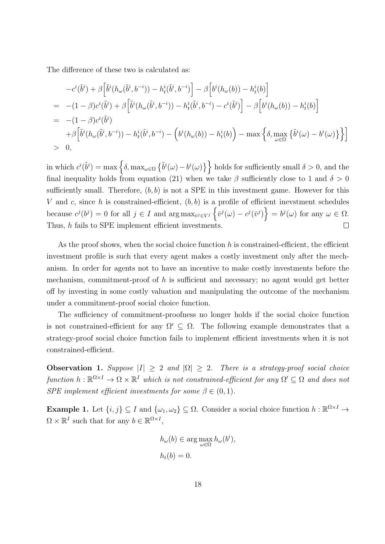The difference of these two is calculated as:

$$
-c^{i}(\tilde{b}^{i}) + \beta \left[\tilde{b}^{i}(h_{\omega}(\tilde{b}^{i}, b^{-i})) - h_{t}^{i}(\tilde{b}^{i}, b^{-i})\right] - \beta \left[b^{i}(h_{\omega}(b)) - h_{t}^{i}(b)\right]
$$
  
\n
$$
= -(1 - \beta)c^{i}(\tilde{b}^{i}) + \beta \left[\tilde{b}^{i}(h_{\omega}(\tilde{b}^{i}, b^{-i})) - h_{t}^{i}(\tilde{b}^{i}, b^{-i}) - c^{i}(\tilde{b}^{i})\right] - \beta \left[b^{i}(h_{\omega}(b)) - h_{t}^{i}(b)\right]
$$
  
\n
$$
= -(1 - \beta)c^{i}(\tilde{b}^{i})
$$
  
\n
$$
+ \beta \left[\tilde{b}^{i}(h_{\omega}(\tilde{b}^{i}, b^{-i})) - h_{t}^{i}(\tilde{b}^{i}, b^{-i}) - \left(b^{i}(h_{\omega}(b)) - h_{t}^{i}(b)\right) - \max \left\{\delta, \max_{\omega \in \Omega} \left\{\tilde{b}^{i}(\omega) - b^{i}(\omega)\right\}\right\}\right]
$$
  
\n
$$
> 0,
$$

 $\int$  in which  $c^{i}(\tilde{b}^{i}) = \max \left\{ \delta, \max_{\omega \in \Omega} \left\{ \tilde{b}^{i}(\omega) - b^{i}(\omega) \right\} \right\}$  holds for sufficiently small  $\delta > 0$ , and the final inequality holds from equation (21) when we take  $\beta$  sufficiently close to 1 and  $\delta > 0$ sufficiently small. Therefore,  $(b, b)$  is not a SPE in this investment game. However for this *V* and *c*, since *h* is constrained-efficient,  $(b, b)$  is a profile of efficient inevstment schedules because  $c^{j}(b^{j}) = 0$  for all  $j \in I$  and  $\arg \max_{\bar{v}^{j} \in V^{j}} \left\{ \bar{v}^{j}(\omega) - c^{j}(\bar{v}^{j}) \right\} = b^{j}(\omega)$  for any  $\omega \in \Omega$ . Thus, *h* fails to SPE implement efficient investments.  $\Box$ 

As the proof shows, when the social choice function *h* is constrained-efficient, the efficient investment profile is such that every agent makes a costly investment only after the mechanism. In order for agents not to have an incentive to make costly investments before the mechanism, commitment-proof of *h* is sufficient and necessary; no agent would get better off by investing in some costly valuation and manipulating the outcome of the mechanism under a commitment-proof social choice function.

The sufficiency of commitment-proofness no longer holds if the social choice function is not constrained-efficient for any  $\Omega' \subseteq \Omega$ . The following example demonstrates that a strategy-proof social choice function fails to implement efficient investments when it is not constrained-efficient.

**Observation 1.** *Suppose*  $|I| \geq 2$  *and*  $|\Omega| \geq 2$ *. There is a strategy-proof social choice*  $function h: \mathbb{R}^{\Omega \times I} \to \Omega \times \mathbb{R}^I$  *which is not constrained-efficient for any*  $\Omega' \subseteq \Omega$  *and does not SPE implement efficient investments for some*  $\beta \in (0,1)$ *.* 

**Example 1.** Let  $\{i, j\} \subseteq I$  and  $\{\omega_1, \omega_2\} \subseteq \Omega$ . Consider a social choice function  $h : \mathbb{R}^{\Omega \times I} \to$  $\Omega \times \mathbb{R}^I$  such that for any  $b \in \mathbb{R}^{\Omega \times I}$ ,

$$
h_{\omega}(b) \in \arg \max_{\omega \in \Omega} h_{\omega}(b^i),
$$
  

$$
h_t(b) = 0.
$$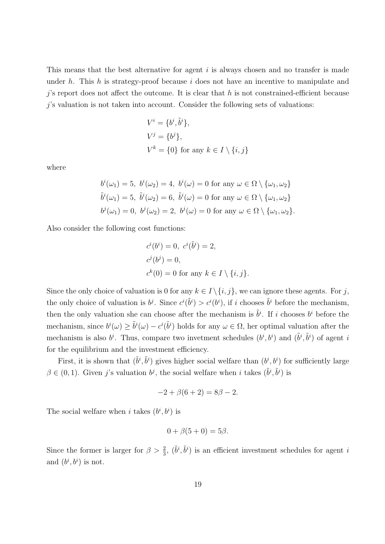This means that the best alternative for agent *i* is always chosen and no transfer is made under *h*. This *h* is strategy-proof because *i* does not have an incentive to manipulate and *j*'s report does not affect the outcome. It is clear that *h* is not constrained-efficient because *j*'s valuation is not taken into account. Consider the following sets of valuations:

$$
V^i = \{b^i, \tilde{b}^i\},
$$
  
\n
$$
V^j = \{b^j\},
$$
  
\n
$$
V^k = \{0\} \text{ for any } k \in I \setminus \{i, j\}
$$

where

$$
b^{i}(\omega_{1}) = 5, b^{i}(\omega_{2}) = 4, b^{i}(\omega) = 0 \text{ for any } \omega \in \Omega \setminus \{\omega_{1}, \omega_{2}\}
$$
  

$$
\tilde{b}^{i}(\omega_{1}) = 5, \tilde{b}^{i}(\omega_{2}) = 6, \tilde{b}^{i}(\omega) = 0 \text{ for any } \omega \in \Omega \setminus \{\omega_{1}, \omega_{2}\}
$$
  

$$
b^{j}(\omega_{1}) = 0, b^{j}(\omega_{2}) = 2, b^{j}(\omega) = 0 \text{ for any } \omega \in \Omega \setminus \{\omega_{1}, \omega_{2}\}.
$$

Also consider the following cost functions:

$$
ci(bi) = 0, ci(\tilde{b}i) = 2,
$$
  
\n
$$
cj(bj) = 0,
$$
  
\n
$$
ck(0) = 0 \text{ for any } k \in I \setminus \{i, j\}.
$$

Since the only choice of valuation is 0 for any  $k \in I \setminus \{i, j\}$ , we can ignore these agents. For *j*, the only choice of valuation is  $b^j$ . Since  $c^i(\tilde{b}^i) > c^i(b^i)$ , if *i* chooses  $\tilde{b}^i$  before the mechanism, then the only valuation she can choose after the mechanism is  $\tilde{b}^i$ . If *i* chooses  $b^i$  before the mechanism, since  $b^i(\omega) \ge \tilde{b}^i(\omega) - c^i(\tilde{b}^i)$  holds for any  $\omega \in \Omega$ , her optimal valuation after the mechanism is also  $b^i$ . Thus, compare two invetment schedules  $(b^i, b^i)$  and  $(\tilde{b}^i, \tilde{b}^i)$  of agent *i* for the equilibrium and the investment efficiency.

First, it is shown that  $(\tilde{b}^i, \tilde{b}^i)$  gives higher social welfare than  $(b^i, b^i)$  for sufficiently large  $\beta \in (0, 1)$ . Given *j*'s valuation  $b^j$ , the social welfare when *i* takes  $(\tilde{b}^i, \tilde{b}^i)$  is

$$
-2 + \beta(6 + 2) = 8\beta - 2.
$$

The social welfare when *i* takes  $(b^i, b^i)$  is

$$
0 + \beta(5 + 0) = 5\beta.
$$

Since the former is larger for  $\beta > \frac{2}{3}$ ,  $(\tilde{b}^i, \tilde{b}^i)$  is an efficient investment schedules for agent *i* and  $(b^i, b^i)$  is not.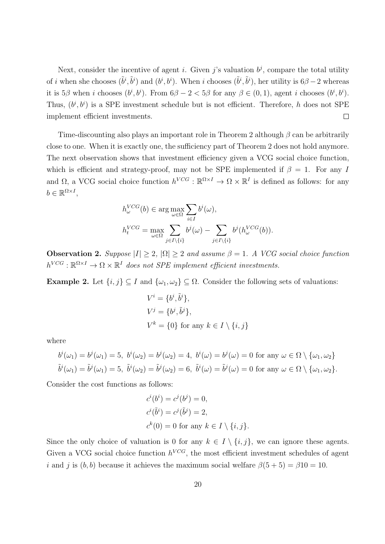Next, consider the incentive of agent *i*. Given *j*'s valuation  $b^j$ , compare the total utility of *i* when she chooses  $(\tilde{b}^i, \tilde{b}^i)$  and  $(b^i, b^i)$ . When *i* chooses  $(\tilde{b}^i, \tilde{b}^i)$ , her utility is  $6\beta - 2$  whereas it is  $5\beta$  when *i* chooses  $(b^i, b^i)$ . From  $6\beta - 2 < 5\beta$  for any  $\beta \in (0, 1)$ , agent *i* chooses  $(b^i, b^i)$ . Thus,  $(b^i, b^i)$  is a SPE investment schedule but is not efficient. Therefore, *h* does not SPE implement efficient investments.  $\Box$ 

Time-discounting also plays an important role in Theorem 2 although *β* can be arbitrarily close to one. When it is exactly one, the sufficiency part of Theorem 2 does not hold anymore. The next observation shows that investment efficiency given a VCG social choice function, which is efficient and strategy-proof, may not be SPE implemented if  $\beta = 1$ . For any *I* and  $\Omega$ , a VCG social choice function  $h^{VCG}: \mathbb{R}^{\Omega \times I} \to \Omega \times \mathbb{R}^I$  is defined as follows: for any  $b \in \mathbb{R}^{\Omega \times I}$ ,

$$
h_{\omega}^{VCG}(b) \in \arg \max_{\omega \in \Omega} \sum_{i \in I} b^{i}(\omega),
$$
  

$$
h_{t}^{VCG} = \max_{\omega \in \Omega} \sum_{j \in I \setminus \{i\}} b^{j}(\omega) - \sum_{j \in I \setminus \{i\}} b^{j}(h_{\omega}^{VCG}(b)).
$$

**Observation 2.** *Suppose*  $|I| \geq 2$ ,  $|\Omega| \geq 2$  *and assume*  $\beta = 1$ *. A VCG social choice function*  $h^{VCG}: \mathbb{R}^{\Omega \times I} \to \Omega \times \mathbb{R}^I$  *does not SPE implement efficient investments.* 

**Example 2.** Let  $\{i, j\} \subseteq I$  and  $\{\omega_1, \omega_2\} \subseteq \Omega$ . Consider the following sets of valuations:

$$
V^i = \{b^i, \tilde{b}^i\},
$$
  
\n
$$
V^j = \{b^j, \tilde{b}^j\},
$$
  
\n
$$
V^k = \{0\} \text{ for any } k \in I \setminus \{i, j\}
$$

where

$$
b^i(\omega_1) = b^j(\omega_1) = 5, \ b^i(\omega_2) = b^j(\omega_2) = 4, \ b^i(\omega) = b^j(\omega) = 0 \text{ for any } \omega \in \Omega \setminus \{\omega_1, \omega_2\}
$$
  

$$
\tilde{b}^i(\omega_1) = \tilde{b}^j(\omega_1) = 5, \ \tilde{b}^i(\omega_2) = \tilde{b}^j(\omega_2) = 6, \ \tilde{b}^i(\omega) = \tilde{b}^j(\omega) = 0 \text{ for any } \omega \in \Omega \setminus \{\omega_1, \omega_2\}.
$$

Consider the cost functions as follows:

$$
ci(bi) = cj(bj) = 0,
$$
  
\n
$$
ci(\tilde{b}i) = cj(\tilde{b}j) = 2,
$$
  
\n
$$
ck(0) = 0 \text{ for any } k \in I \setminus \{i, j\}.
$$

Since the only choice of valuation is 0 for any  $k \in I \setminus \{i, j\}$ , we can ignore these agents. Given a VCG social choice function  $h^{VCG}$ , the most efficient investment schedules of agent *i* and *j* is (*b, b*) because it achieves the maximum social welfare  $\beta(5+5) = \beta 10 = 10$ .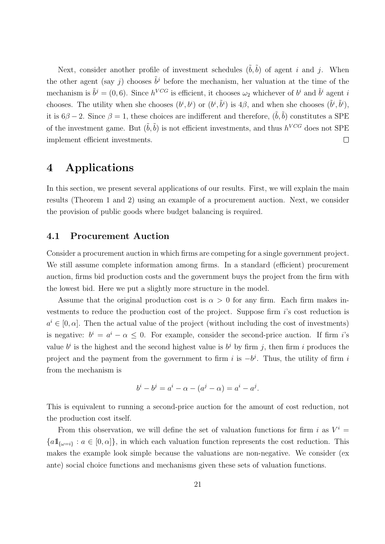Next, consider another profile of investment schedules  $(\tilde{b}, \tilde{b})$  of agent *i* and *j*. When the other agent (say *j*) chooses  $\tilde{b}^j$  before the mechanism, her valuation at the time of the mechanism is  $\tilde{b}^j = (0,6)$ . Since  $h^{VCG}$  is efficient, it chooses  $\omega_2$  whichever of  $b^i$  and  $\tilde{b}^i$  agent *i* chooses. The utility when she chooses  $(b^i, b^i)$  or  $(b^i, \tilde{b}^i)$  is 4*β*, and when she chooses  $(\tilde{b}^i, \tilde{b}^i)$ , it is  $6\beta - 2$ . Since  $\beta = 1$ , these choices are indifferent and therefore,  $(\tilde{b}, \tilde{b})$  constitutes a SPE of the investment game. But  $(\tilde{b}, \tilde{b})$  is not efficient investments, and thus  $h^{VCG}$  does not SPE implement efficient investments.  $\Box$ 

# **4 Applications**

In this section, we present several applications of our results. First, we will explain the main results (Theorem 1 and 2) using an example of a procurement auction. Next, we consider the provision of public goods where budget balancing is required.

#### **4.1 Procurement Auction**

Consider a procurement auction in which firms are competing for a single government project. We still assume complete information among firms. In a standard (efficient) procurement auction, firms bid production costs and the government buys the project from the firm with the lowest bid. Here we put a slightly more structure in the model.

Assume that the original production cost is  $\alpha > 0$  for any firm. Each firm makes investments to reduce the production cost of the project. Suppose firm *i*'s cost reduction is  $a^i \in [0, \alpha]$ . Then the actual value of the project (without including the cost of investments) is negative:  $b^i = a^i - \alpha \leq 0$ . For example, consider the second-price auction. If firm *i*'s value  $b^i$  is the highest and the second highest value is  $b^j$  by firm *j*, then firm *i* produces the project and the payment from the government to firm  $i$  is  $-b^j$ . Thus, the utility of firm  $i$ from the mechanism is

$$
b^{i} - b^{j} = a^{i} - \alpha - (a^{j} - \alpha) = a^{i} - a^{j}.
$$

This is equivalent to running a second-price auction for the amount of cost reduction, not the production cost itself.

From this observation, we will define the set of valuation functions for firm *i* as  $V^i$  =  ${a1}_{\{a=i\}}: a \in [0, \alpha]$ , in which each valuation function represents the cost reduction. This makes the example look simple because the valuations are non-negative. We consider (ex ante) social choice functions and mechanisms given these sets of valuation functions.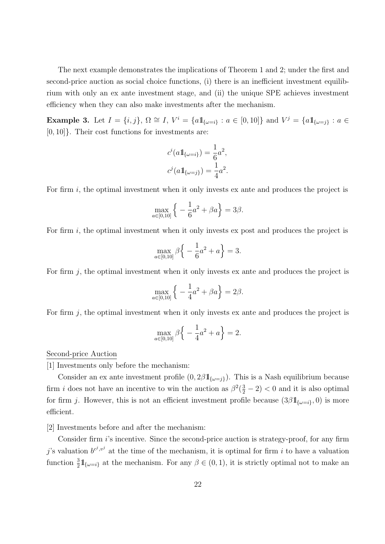The next example demonstrates the implications of Theorem 1 and 2; under the first and second-price auction as social choice functions, (i) there is an inefficient investment equilibrium with only an ex ante investment stage, and (ii) the unique SPE achieves investment efficiency when they can also make investments after the mechanism.

**Example 3.** Let  $I = \{i, j\}$ ,  $\Omega \cong I$ ,  $V^i = \{a1_{\{\omega=i\}} : a \in [0, 10]\}$  and  $V^j = \{a1_{\{\omega=j\}} : a \in I\}$ [0*,* 10]*}*. Their cost functions for investments are:

$$
c^{i}(a1\!\!1_{\{\omega=i\}}) = \frac{1}{6}a^{2},
$$
  

$$
c^{j}(a1\!\!1_{\{\omega=j\}}) = \frac{1}{4}a^{2}.
$$

For firm *i*, the optimal investment when it only invests ex ante and produces the project is

$$
\max_{a \in [0,10]} \left\{ -\frac{1}{6}a^2 + \beta a \right\} = 3\beta.
$$

For firm *i*, the optimal investment when it only invests ex post and produces the project is

$$
\max_{a \in [0,10]} \beta \left\{ -\frac{1}{6}a^2 + a \right\} = 3.
$$

For firm *j*, the optimal investment when it only invests ex ante and produces the project is

$$
\max_{a \in [0,10]} \left\{ -\frac{1}{4}a^2 + \beta a \right\} = 2\beta.
$$

For firm *j*, the optimal investment when it only invests ex ante and produces the project is

$$
\max_{a \in [0,10]} \beta \left\{ -\frac{1}{4}a^2 + a \right\} = 2.
$$

Second-price Auction

[1] Investments only before the mechanism:

Consider an ex ante investment profile  $(0, 2\beta 1_{\{\omega=i\}})$ . This is a Nash equilibrium because firm *i* does not have an incentive to win the auction as  $\beta^2(\frac{3}{2} - 2) < 0$  and it is also optimal for firm *j*. However, this is not an efficient investment profile because  $(3\beta 1_{\{\omega=i\}}, 0)$  is more efficient.

[2] Investments before and after the mechanism:

Consider firm *i*'s incentive. Since the second-price auction is strategy-proof, for any firm *j*'s valuation  $b^{c^j, v^j}$  at the time of the mechanism, it is optimal for firm *i* to have a valuation function  $\frac{3}{2}$   $\mathbb{1}_{\{\omega=i\}}$  at the mechanism. For any  $\beta \in (0,1)$ , it is strictly optimal not to make an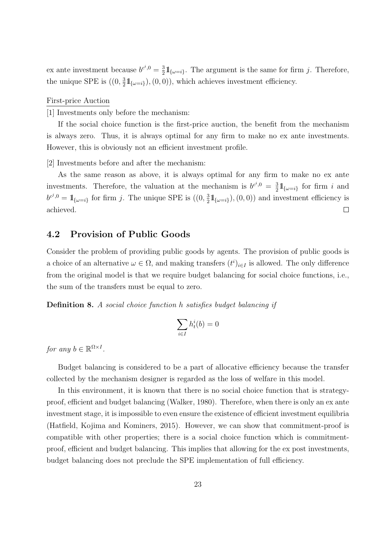ex ante investment because  $b^{c^i,0} = \frac{3}{2}$  $\frac{3}{2}$   $\mathbb{1}_{\{\omega=i\}}$ . The argument is the same for firm *j*. Therefore, the unique SPE is  $((0, \frac{3}{2})$  $\frac{3}{2}$   $\mathbb{1}_{\{\omega=i\}}$ , (0, 0)), which achieves investment efficiency.

#### First-price Auction

[1] Investments only before the mechanism:

If the social choice function is the first-price auction, the benefit from the mechanism is always zero. Thus, it is always optimal for any firm to make no ex ante investments. However, this is obviously not an efficient investment profile.

[2] Investments before and after the mechanism:

As the same reason as above, it is always optimal for any firm to make no ex ante investments. Therefore, the valuation at the mechanism is  $b^{c^i,0} = \frac{3}{2}$  $\frac{3}{2}$   $\mathbb{1}_{\{\omega=i\}}$  for firm *i* and  $b^{c^j,0} = 1\!\!1_{\{\omega=i\}}$  for firm *j*. The unique SPE is  $((0, \frac{3}{2}))$  $\frac{3}{2}$   $\mathbb{1}_{\{\omega=i\}}$ ,  $(0,0)$  and investment efficiency is achieved.  $\Box$ 

#### **4.2 Provision of Public Goods**

Consider the problem of providing public goods by agents. The provision of public goods is a choice of an alternative  $\omega \in \Omega$ , and making transfers  $(t^i)_{i \in I}$  is allowed. The only difference from the original model is that we require budget balancing for social choice functions, i.e., the sum of the transfers must be equal to zero.

**Definition 8.** *A social choice function h satisfies budget balancing if*

$$
\sum_{i\in I}h_t^i(b)=0
$$

*for any*  $b \in \mathbb{R}^{\Omega \times I}$ .

Budget balancing is considered to be a part of allocative efficiency because the transfer collected by the mechanism designer is regarded as the loss of welfare in this model.

In this environment, it is known that there is no social choice function that is strategyproof, efficient and budget balancing (Walker, 1980). Therefore, when there is only an ex ante investment stage, it is impossible to even ensure the existence of efficient investment equilibria (Hatfield, Kojima and Kominers, 2015). However, we can show that commitment-proof is compatible with other properties; there is a social choice function which is commitmentproof, efficient and budget balancing. This implies that allowing for the ex post investments, budget balancing does not preclude the SPE implementation of full efficiency.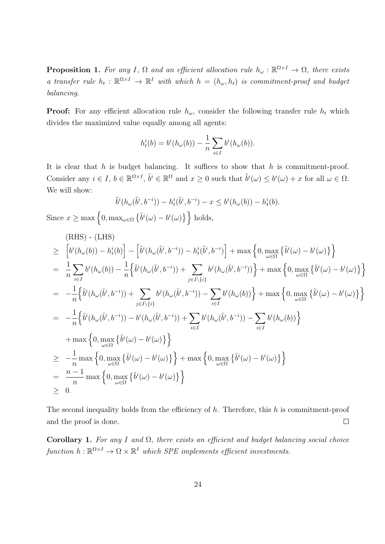**Proposition 1.** For any I,  $\Omega$  and an efficient allocation rule  $h_{\omega}: \mathbb{R}^{\Omega \times I} \to \Omega$ , there exists *a transfer rule*  $h_t: \mathbb{R}^{\Omega \times I} \to \mathbb{R}^I$  *with which*  $h = (h_\omega, h_t)$  *is commitment-proof and budget balancing.*

**Proof:** For any efficient allocation rule  $h_\omega$ , consider the following transfer rule  $h_t$  which divides the maximized value equally among all agents:

$$
h_t^i(b) = b^i(h_{\omega}(b)) - \frac{1}{n} \sum_{i \in I} b^i(h_{\omega}(b)).
$$

It is clear that *h* is budget balancing. It suffices to show that *h* is commitment-proof. Consider any  $i \in I$ ,  $b \in \mathbb{R}^{\Omega \times I}$ ,  $\tilde{b}^i \in \mathbb{R}^\Omega$  and  $x \geq 0$  such that  $\tilde{b}^i(\omega) \leq b^i(\omega) + x$  for all  $\omega \in \Omega$ . We will show:

$$
\tilde{b}^{i}(h_{\omega}(\tilde{b}^{i}, b^{-i})) - h_{t}^{i}(\tilde{b}^{i}, b^{-i}) - x \leq b^{i}(h_{\omega}(b)) - h_{t}^{i}(b).
$$

Since  $x \ge \max\left\{0, \max_{\omega \in \Omega} \left\{ \tilde{b}^i(\omega) - b^i(\omega) \right\} \right\}$  holds,

(RHS) - (LHS)  
\n
$$
\geq \left[ b^{i} (h_{\omega}(b)) - h_{t}^{i}(b) \right] - \left[ \tilde{b}^{i} (h_{\omega}(\tilde{b}^{i}, b^{-i})) - h_{t}^{i} (\tilde{b}^{i}, b^{-i}) \right] + \max \left\{ 0, \max_{\omega \in \Omega} \left\{ \tilde{b}^{i} (\omega) - b^{i} (\omega) \right\} \right\}
$$
\n
$$
= \frac{1}{n} \sum_{i \in I} b^{i} (h_{\omega}(b)) - \frac{1}{n} \left\{ \tilde{b}^{i} (h_{\omega}(\tilde{b}^{i}, b^{-i})) + \sum_{j \in I \setminus \{i\}} b^{j} (h_{\omega}(\tilde{b}^{i}, b^{-i})) \right\} + \max \left\{ 0, \max_{\omega \in \Omega} \left\{ \tilde{b}^{i} (\omega) - b^{i} (\omega) \right\} \right\}
$$
\n
$$
= -\frac{1}{n} \left\{ \tilde{b}^{i} (h_{\omega}(\tilde{b}^{i}, b^{-i})) + \sum_{j \in I \setminus \{i\}} b^{j} (h_{\omega}(\tilde{b}^{i}, b^{-i})) - \sum_{i \in I} b^{i} (h_{\omega}(b)) \right\} + \max \left\{ 0, \max_{\omega \in \Omega} \left\{ \tilde{b}^{i} (\omega) - b^{i} (\omega) \right\} \right\}
$$
\n
$$
= -\frac{1}{n} \left\{ \tilde{b}^{i} (h_{\omega}(\tilde{b}^{i}, b^{-i})) - b^{i} (h_{\omega}(\tilde{b}^{i}, b^{-i})) + \sum_{i \in I} b^{i} (h_{\omega}(\tilde{b}^{i}, b^{-i})) - \sum_{i \in I} b^{i} (h_{\omega}(b)) \right\}
$$
\n
$$
+ \max \left\{ 0, \max_{\omega \in \Omega} \left\{ \tilde{b}^{i} (\omega) - b^{i} (\omega) \right\} \right\}
$$
\n
$$
\geq -\frac{1}{n} \max \left\{ 0, \max_{\omega \in \Omega} \left\{ \tilde{b}^{i} (\omega) - b^{i} (\omega) \right\} \right\}
$$
\n
$$
=
$$

The second inequality holds from the efficiency of *h*. Therefore, this *h* is commitment-proof  $\Box$ and the proof is done.

**Corollary 1.** *For any I and* Ω*, there exists an efficient and budget balancing social choice*  $function h: \mathbb{R}^{\Omega \times I} \to \Omega \times \mathbb{R}^I$  *which SPE implements efficient investments.*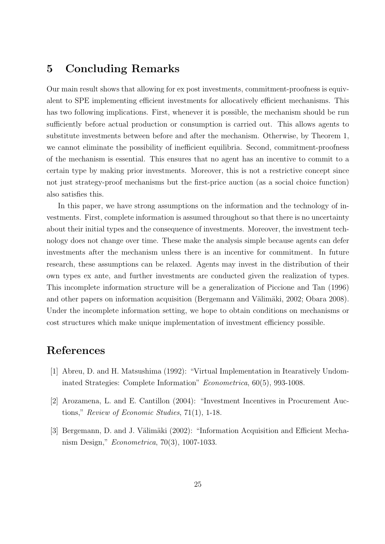### **5 Concluding Remarks**

Our main result shows that allowing for ex post investments, commitment-proofness is equivalent to SPE implementing efficient investments for allocatively efficient mechanisms. This has two following implications. First, whenever it is possible, the mechanism should be run sufficiently before actual production or consumption is carried out. This allows agents to substitute investments between before and after the mechanism. Otherwise, by Theorem 1, we cannot eliminate the possibility of inefficient equilibria. Second, commitment-proofness of the mechanism is essential. This ensures that no agent has an incentive to commit to a certain type by making prior investments. Moreover, this is not a restrictive concept since not just strategy-proof mechanisms but the first-price auction (as a social choice function) also satisfies this.

In this paper, we have strong assumptions on the information and the technology of investments. First, complete information is assumed throughout so that there is no uncertainty about their initial types and the consequence of investments. Moreover, the investment technology does not change over time. These make the analysis simple because agents can defer investments after the mechanism unless there is an incentive for commitment. In future research, these assumptions can be relaxed. Agents may invest in the distribution of their own types ex ante, and further investments are conducted given the realization of types. This incomplete information structure will be a generalization of Piccione and Tan (1996) and other papers on information acquisition (Bergemann and Välimäki, 2002; Obara 2008). Under the incomplete information setting, we hope to obtain conditions on mechanisms or cost structures which make unique implementation of investment efficiency possible.

# **References**

- [1] Abreu, D. and H. Matsushima (1992): "Virtual Implementation in Itearatively Undominated Strategies: Complete Information" *Econometrica*, 60(5), 993-1008.
- [2] Arozamena, L. and E. Cantillon (2004): "Investment Incentives in Procurement Auctions," *Review of Economic Studies*, 71(1), 1-18.
- [3] Bergemann, D. and J. Välimäki (2002): "Information Acquisition and Efficient Mechanism Design," *Econometrica*, 70(3), 1007-1033.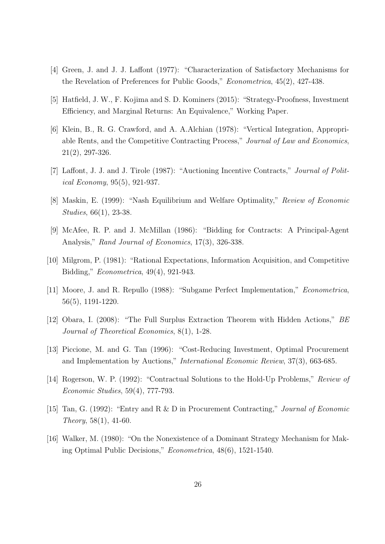- [4] Green, J. and J. J. Laffont (1977): "Characterization of Satisfactory Mechanisms for the Revelation of Preferences for Public Goods," *Econometrica*, 45(2), 427-438.
- [5] Hatfield, J. W., F. Kojima and S. D. Kominers (2015): "Strategy-Proofness, Investment Efficiency, and Marginal Returns: An Equivalence," Working Paper.
- [6] Klein, B., R. G. Crawford, and A. A.Alchian (1978): "Vertical Integration, Appropriable Rents, and the Competitive Contracting Process," *Journal of Law and Economics*, 21(2), 297-326.
- [7] Laffont, J. J. and J. Tirole (1987): "Auctioning Incentive Contracts," *Journal of Political Economy*, 95(5), 921-937.
- [8] Maskin, E. (1999): "Nash Equilibrium and Welfare Optimality," *Review of Economic Studies*, 66(1), 23-38.
- [9] McAfee, R. P. and J. McMillan (1986): "Bidding for Contracts: A Principal-Agent Analysis," *Rand Journal of Economics*, 17(3), 326-338.
- [10] Milgrom, P. (1981): "Rational Expectations, Information Acquisition, and Competitive Bidding," *Econometrica*, 49(4), 921-943.
- [11] Moore, J. and R. Repullo (1988): "Subgame Perfect Implementation," *Econometrica*, 56(5), 1191-1220.
- [12] Obara, I. (2008): "The Full Surplus Extraction Theorem with Hidden Actions," *BE Journal of Theoretical Economics*, 8(1), 1-28.
- [13] Piccione, M. and G. Tan (1996): "Cost-Reducing Investment, Optimal Procurement and Implementation by Auctions," *International Economic Review*, 37(3), 663-685.
- [14] Rogerson, W. P. (1992): "Contractual Solutions to the Hold-Up Problems," *Review of Economic Studies*, 59(4), 777-793.
- [15] Tan, G. (1992): "Entry and R & D in Procurement Contracting," *Journal of Economic Theory*, 58(1), 41-60.
- [16] Walker, M. (1980): "On the Nonexistence of a Dominant Strategy Mechanism for Making Optimal Public Decisions," *Econometrica*, 48(6), 1521-1540.